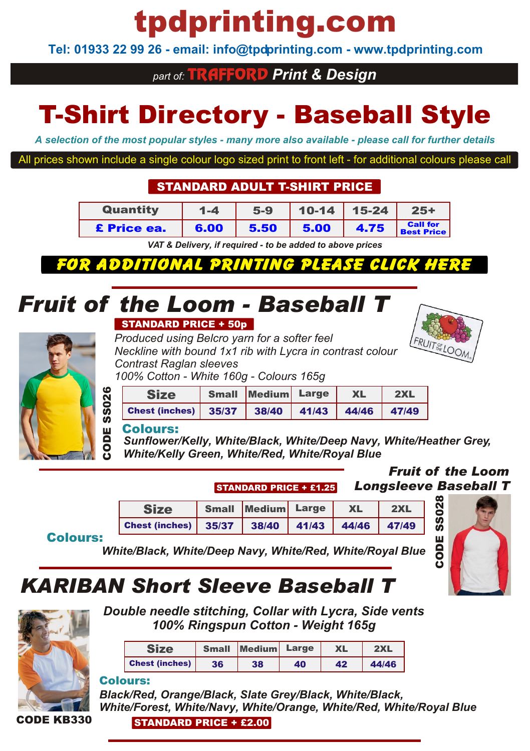# tpdprinting.com

**Tel: 01933 22 99 26 - email: info@tpdprinting.com - www.tpdprinting.com**

## *part of:* TRAFFORD *Print & Design*

# T-Shirt Directory - Baseball Style

*A selection of the most popular styles - many more also available - please call for further details*

All prices shown include a single colour logo sized print to front left - for additional colours please call

#### STANDARD ADULT T-SHIRT PRICE

| Quantity    | $1 - 4$ | $5-9$ |      | $10-14$   15-24 | $25+$                                |
|-------------|---------|-------|------|-----------------|--------------------------------------|
| £ Price ea. | 6.00    | 5.50  | 5.00 | 4.75            | <b>Call for</b><br><b>Best Price</b> |

*[VAT & Delivery, if required - to be added to above prices](http://www.tpdprinting.com/resources/17+Adult+T-Shirts+Flexi+Print.pdf)*

FOR ADDITION. *CLICK* 

## *Fruit of the Loom - Baseball T*

#### STANDARD PRICE + 50p

*Produced using Belcro yarn for a softer feel Neckline with bound 1x1 rib with Lycra in contrast colour Contrast Raglan sleeves 100% Cotton - White 160g - Colours 165g*



CODE

SS028



## Size Small Medium Large XL 2XL Chest (inches) 35/37 38/40 41/43 44/46 47/49

#### Colours:

*Sunflower/Kelly, White/Black, White/Deep Navy, White/Heather Grey, White/Kelly Green, White/Red, White/Royal Blue*

#### *Fruit of the Loom* STANDARD PRICE <sup>+</sup> £1.25 *Longsleeve Baseball T*

| <b>Size</b>                                                                                                     | Small Medium Large XL |  | $\vert$ 2XL |
|-----------------------------------------------------------------------------------------------------------------|-----------------------|--|-------------|
| Chest (inches) $\begin{array}{ c c c c c c c c c }\n\hline\n35/37 & 38/40 & 41/43 & 44/46 & 47/49\n\end{array}$ |                       |  |             |

#### Colours:

*White/Black, White/Deep Navy, White/Red, White/Royal Blue*

## *KARIBAN Short Sleeve Baseball T*



*Double needle stitching, Collar with Lycra, Side vents 100% Ringspun Cotton - Weight 165g*

|                       |    | Small Medium Large |    | <b>XL</b> | 2XL   |
|-----------------------|----|--------------------|----|-----------|-------|
| <b>Chest (inches)</b> | 36 | 38                 | 40 | 42        | 44/46 |

#### Colours:

*Black/Red, Orange/Black, Slate Grey/Black, White/Black, White/Forest, White/Navy, White/Orange, White/Red, White/Royal Blue*

#### CODE KB330

STANDARD PRICE + £2.00